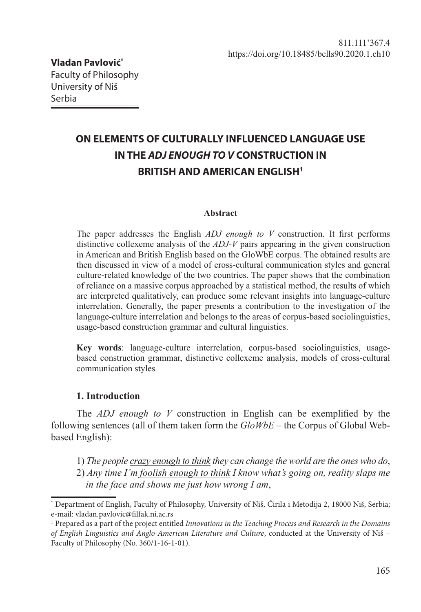# **ON ELEMENTS OF CULTURALLY INFLUENCED LANGUAGE USE IN THE** *ADJ ENOUGH TO V* **CONSTRUCTION IN BRITISH AND AMERICAN ENGLISH1**

#### **Abstract**

The paper addresses the English *ADJ enough to V* construction. It first performs distinctive collexeme analysis of the *ADJ-V* pairs appearing in the given construction in American and British English based on the GloWbE corpus. The obtained results are then discussed in view of a model of cross-cultural communication styles and general culture-related knowledge of the two countries. The paper shows that the combination of reliance on a massive corpus approached by a statistical method, the results of which are interpreted qualitatively, can produce some relevant insights into language-culture interrelation. Generally, the paper presents a contribution to the investigation of the language-culture interrelation and belongs to the areas of corpus-based sociolinguistics, usage-based construction grammar and cultural linguistics.

**Key words**: language-culture interrelation, corpus-based sociolinguistics, usagebased construction grammar, distinctive collexeme analysis, models of cross-cultural communication styles

## **1. Introduction**

The *ADJ enough to V* construction in English can be exemplified by the following sentences (all of them taken form the *GloWbE* – the Corpus of Global Webbased English):

- 1) *The people crazy enough to think they can change the world are the ones who do*,
- 2) *Any time I'm foolish enough to think I know what's going on, reality slaps me in the face and shows me just how wrong I am*,

<sup>\*</sup> Department of English, Faculty of Philosophy, University of Niš, Ćirila i Metodija 2, 18000 Niš, Serbia; e-mail: vladan.pavlovic@filfak.ni.ac.rs

<sup>1</sup> Prepared as a part of the project entitled *Innovations in the Teaching Process and Research in the Domains of English Linguistics and Anglo-American Literature and Culture*, conducted at the University of Niš – Faculty of Philosophy (No. 360/1-16-1-01).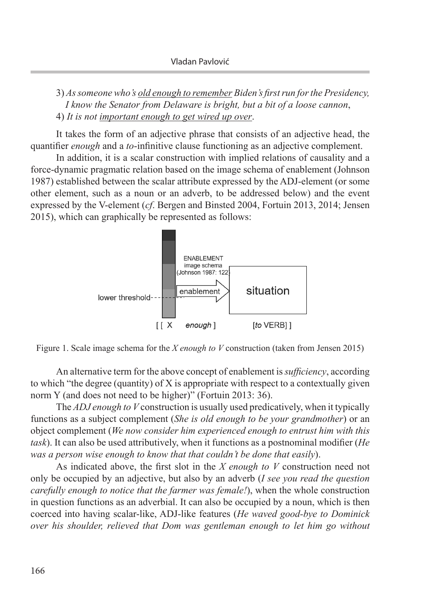3) *As someone who's old enough to remember Biden's first run for the Presidency, I know the Senator from Delaware is bright, but a bit of a loose cannon*, 4) *It is not important enough to get wired up over*.

It takes the form of an adjective phrase that consists of an adjective head, the quantifier *enough* and a *to*-infinitive clause functioning as an adjective complement.

In addition, it is a scalar construction with implied relations of causality and a force-dynamic pragmatic relation based on the image schema of enablement (Johnson 1987) established between the scalar attribute expressed by the ADJ-element (or some other element, such as a noun or an adverb, to be addressed below) and the event expressed by the V-element (*cf*. Bergen and Binsted 2004, Fortuin 2013, 2014; Jensen 2015), which can graphically be represented as follows:



Figure 1. Scale image schema for the *X enough to V* construction (taken from Jensen 2015)

An alternative term for the above concept of enablement is *sufficiency*, according to which "the degree (quantity) of X is appropriate with respect to a contextually given norm Y (and does not need to be higher)" (Fortuin 2013: 36).

The *ADJ enough to V* construction is usually used predicatively, when it typically functions as a subject complement (*She is old enough to be your grandmother*) or an object complement (*We now consider him experienced enough to entrust him with this task*). It can also be used attributively, when it functions as a postnominal modifier (*He was a person wise enough to know that that couldn't be done that easily*).

As indicated above, the first slot in the *X enough to V* construction need not only be occupied by an adjective, but also by an adverb (*I see you read the question carefully enough to notice that the farmer was female!*), when the whole construction in question functions as an adverbial. It can also be occupied by a noun, which is then coerced into having scalar-like, ADJ-like features (*He waved good-bye to Dominick over his shoulder, relieved that Dom was gentleman enough to let him go without*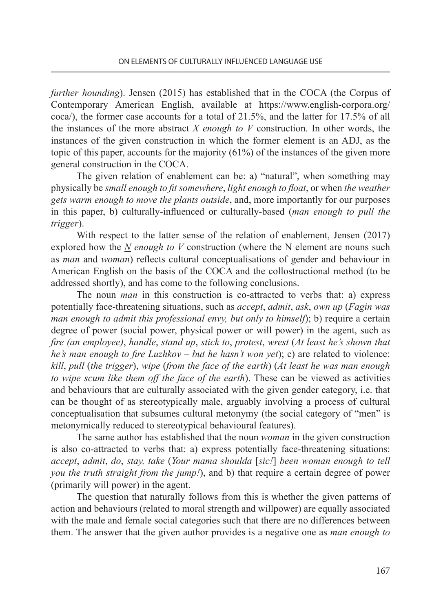*further hounding*). Jensen (2015) has established that in the COCA (the Corpus of Contemporary American English, available at https://www.english-corpora.org/ coca/), the former case accounts for a total of 21.5%, and the latter for 17.5% of all the instances of the more abstract *X enough to V* construction. In other words, the instances of the given construction in which the former element is an ADJ, as the topic of this paper, accounts for the majority (61%) of the instances of the given more general construction in the COCA.

The given relation of enablement can be: a) "natural", when something may physically be *small enough to fit somewhere*, *light enough to float*, or when *the weather gets warm enough to move the plants outside*, and, more importantly for our purposes in this paper, b) culturally-influenced or culturally-based (*man enough to pull the trigger*).

With respect to the latter sense of the relation of enablement, Jensen (2017) explored how the *N enough to V* construction (where the N element are nouns such as *man* and *woman*) reflects cultural conceptualisations of gender and behaviour in American English on the basis of the COCA and the collostructional method (to be addressed shortly), and has come to the following conclusions.

The noun *man* in this construction is co-attracted to verbs that: a) express potentially face-threatening situations, such as *accept*, *admit*, *ask*, *own up* (*Fagin was man enough to admit this professional envy, but only to himself*); b) require a certain degree of power (social power, physical power or will power) in the agent, such as *fire (an employee)*, *handle*, *stand up*, *stick to*, *protest*, *wrest* (*At least he's shown that he's man enough to fire Luzhkov – but he hasn't won yet*); c) are related to violence: *kill*, *pull* (*the trigger*), *wipe* (*from the face of the earth*) (*At least he was man enough to wipe scum like them off the face of the earth*). These can be viewed as activities and behaviours that are culturally associated with the given gender category, i.e. that can be thought of as stereotypically male, arguably involving a process of cultural conceptualisation that subsumes cultural metonymy (the social category of "men" is metonymically reduced to stereotypical behavioural features).

The same author has established that the noun *woman* in the given construction is also co-attracted to verbs that: a) express potentially face-threatening situations: *accept*, *admit*, *do*, *stay, take* (*Your mama shoulda* [*sic!*] *been woman enough to tell you the truth straight from the jump!*), and b) that require a certain degree of power (primarily will power) in the agent.

The question that naturally follows from this is whether the given patterns of action and behaviours (related to moral strength and willpower) are equally associated with the male and female social categories such that there are no differences between them. The answer that the given author provides is a negative one as *man enough to*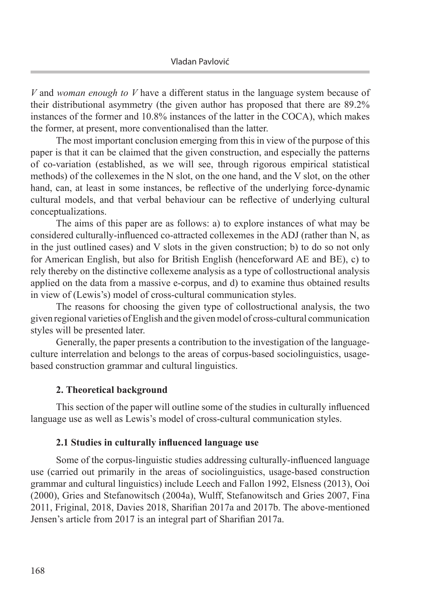*V* and *woman enough to V* have a different status in the language system because of their distributional asymmetry (the given author has proposed that there are 89.2% instances of the former and 10.8% instances of the latter in the COCA), which makes the former, at present, more conventionalised than the latter.

The most important conclusion emerging from this in view of the purpose of this paper is that it can be claimed that the given construction, and especially the patterns of co-variation (established, as we will see, through rigorous empirical statistical methods) of the collexemes in the N slot, on the one hand, and the V slot, on the other hand, can, at least in some instances, be reflective of the underlying force-dynamic cultural models, and that verbal behaviour can be reflective of underlying cultural conceptualizations.

The aims of this paper are as follows: a) to explore instances of what may be considered culturally-influenced co-attracted collexemes in the ADJ (rather than N, as in the just outlined cases) and V slots in the given construction; b) to do so not only for American English, but also for British English (henceforward AE and BE), c) to rely thereby on the distinctive collexeme analysis as a type of collostructional analysis applied on the data from a massive e-corpus, and d) to examine thus obtained results in view of (Lewis's) model of cross-cultural communication styles.

The reasons for choosing the given type of collostructional analysis, the two given regional varieties of English and the given model of cross-cultural communication styles will be presented later.

Generally, the paper presents a contribution to the investigation of the languageculture interrelation and belongs to the areas of corpus-based sociolinguistics, usagebased construction grammar and cultural linguistics.

# **2. Theoretical background**

This section of the paper will outline some of the studies in culturally influenced language use as well as Lewis's model of cross-cultural communication styles.

## **2.1 Studies in culturally influenced language use**

Some of the corpus-linguistic studies addressing culturally-influenced language use (carried out primarily in the areas of sociolinguistics, usage-based construction grammar and cultural linguistics) include Leech and Fallon 1992, Elsness (2013), Ooi (2000), Gries and Stefanowitsch (2004a), Wulff, Stefanowitsch and Gries 2007, Fina 2011, Friginal, 2018, Davies 2018, Sharifian 2017a and 2017b. The above-mentioned Jensen's article from 2017 is an integral part of Sharifian 2017a.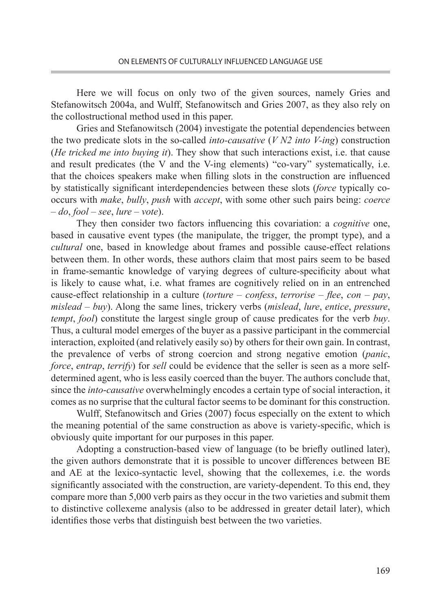Here we will focus on only two of the given sources, namely Gries and Stefanowitsch 2004a, and Wulff, Stefanowitsch and Gries 2007, as they also rely on the collostructional method used in this paper.

Gries and Stefanowitsch (2004) investigate the potential dependencies between the two predicate slots in the so-called *into-causative* (*V N2 into V-ing*) construction (*He tricked me into buying it*). They show that such interactions exist, i.e. that cause and result predicates (the V and the V-ing elements) "co-vary" systematically, i.e. that the choices speakers make when filling slots in the construction are influenced by statistically significant interdependencies between these slots (*force* typically cooccurs with *make*, *bully*, *push* with *accept*, with some other such pairs being: *coerce* – *do*, *fool* – *see*, *lure* – *vote*).

They then consider two factors influencing this covariation: a *cognitive* one, based in causative event types (the manipulate, the trigger, the prompt type), and a *cultural* one, based in knowledge about frames and possible cause-effect relations between them. In other words, these authors claim that most pairs seem to be based in frame-semantic knowledge of varying degrees of culture-specificity about what is likely to cause what, i.e. what frames are cognitively relied on in an entrenched cause-effect relationship in a culture (*torture* – *confess*, *terrorise* – *flee*, *con* – *pay*, *mislead* – *buy*). Along the same lines, trickery verbs (*mislead*, *lure*, *entice*, *pressure*, *tempt*, *fool*) constitute the largest single group of cause predicates for the verb *buy*. Thus, a cultural model emerges of the buyer as a passive participant in the commercial interaction, exploited (and relatively easily so) by others for their own gain. In contrast, the prevalence of verbs of strong coercion and strong negative emotion (*panic*, *force*, *entrap*, *terrify*) for *sell* could be evidence that the seller is seen as a more selfdetermined agent, who is less easily coerced than the buyer. The authors conclude that, since the *into*-*causative* overwhelmingly encodes a certain type of social interaction, it comes as no surprise that the cultural factor seems to be dominant for this construction.

Wulff, Stefanowitsch and Gries (2007) focus especially on the extent to which the meaning potential of the same construction as above is variety-specific, which is obviously quite important for our purposes in this paper.

Adopting a construction-based view of language (to be briefly outlined later), the given authors demonstrate that it is possible to uncover differences between BE and AE at the lexico-syntactic level, showing that the collexemes, i.e. the words significantly associated with the construction, are variety-dependent. To this end, they compare more than 5,000 verb pairs as they occur in the two varieties and submit them to distinctive collexeme analysis (also to be addressed in greater detail later), which identifies those verbs that distinguish best between the two varieties.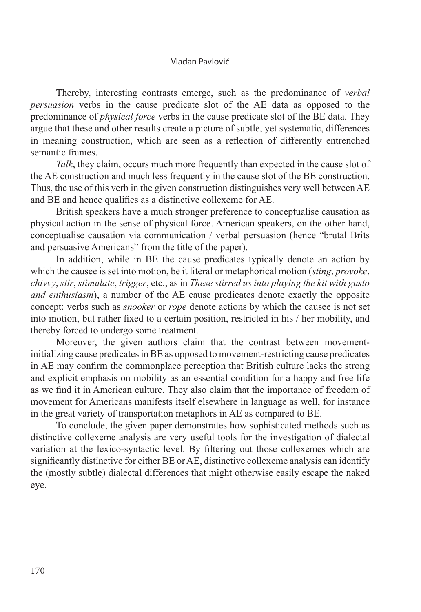Thereby, interesting contrasts emerge, such as the predominance of *verbal persuasion* verbs in the cause predicate slot of the AE data as opposed to the predominance of *physical force* verbs in the cause predicate slot of the BE data. They argue that these and other results create a picture of subtle, yet systematic, differences in meaning construction, which are seen as a reflection of differently entrenched semantic frames.

*Talk*, they claim, occurs much more frequently than expected in the cause slot of the AE construction and much less frequently in the cause slot of the BE construction. Thus, the use of this verb in the given construction distinguishes very well between AE and BE and hence qualifies as a distinctive collexeme for AE.

British speakers have a much stronger preference to conceptualise causation as physical action in the sense of physical force. American speakers, on the other hand, conceptualise causation via communication / verbal persuasion (hence "brutal Brits and persuasive Americans" from the title of the paper).

In addition, while in BE the cause predicates typically denote an action by which the causee is set into motion, be it literal or metaphorical motion (*sting*, *provoke*, *chivvy*, *stir*, *stimulate*, *trigger*, etc., as in *These stirred us into playing the kit with gusto and enthusiasm*), a number of the AE cause predicates denote exactly the opposite concept: verbs such as *snooker* or *rope* denote actions by which the causee is not set into motion, but rather fixed to a certain position, restricted in his / her mobility, and thereby forced to undergo some treatment.

Moreover, the given authors claim that the contrast between movementinitializing cause predicates in BE as opposed to movement-restricting cause predicates in AE may confirm the commonplace perception that British culture lacks the strong and explicit emphasis on mobility as an essential condition for a happy and free life as we find it in American culture. They also claim that the importance of freedom of movement for Americans manifests itself elsewhere in language as well, for instance in the great variety of transportation metaphors in AE as compared to BE.

To conclude, the given paper demonstrates how sophisticated methods such as distinctive collexeme analysis are very useful tools for the investigation of dialectal variation at the lexico-syntactic level. By filtering out those collexemes which are significantly distinctive for either BE or AE, distinctive collexeme analysis can identify the (mostly subtle) dialectal differences that might otherwise easily escape the naked eye.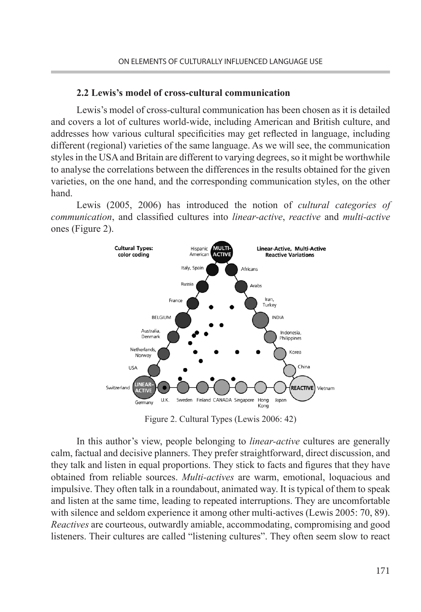#### **2.2 Lewis's model of cross-cultural communication**

Lewis's model of cross-cultural communication has been chosen as it is detailed and covers a lot of cultures world-wide, including American and British culture, and addresses how various cultural specificities may get reflected in language, including different (regional) varieties of the same language. As we will see, the communication styles in the USA and Britain are different to varying degrees, so it might be worthwhile to analyse the correlations between the differences in the results obtained for the given varieties, on the one hand, and the corresponding communication styles, on the other hand.

Lewis (2005, 2006) has introduced the notion of *cultural categories of communication*, and classified cultures into *linear-active*, *reactive* and *multi-active* ones (Figure 2).



Figure 2. Cultural Types (Lewis 2006: 42)

In this author's view, people belonging to *linear-active* cultures are generally calm, factual and decisive planners. They prefer straightforward, direct discussion, and they talk and listen in equal proportions. They stick to facts and figures that they have obtained from reliable sources. *Multi-actives* are warm, emotional, loquacious and impulsive. They often talk in a roundabout, animated way. It is typical of them to speak and listen at the same time, leading to repeated interruptions. They are uncomfortable with silence and seldom experience it among other multi-actives (Lewis 2005: 70, 89). *Reactives* are courteous, outwardly amiable, accommodating, compromising and good listeners. Their cultures are called "listening cultures". They often seem slow to react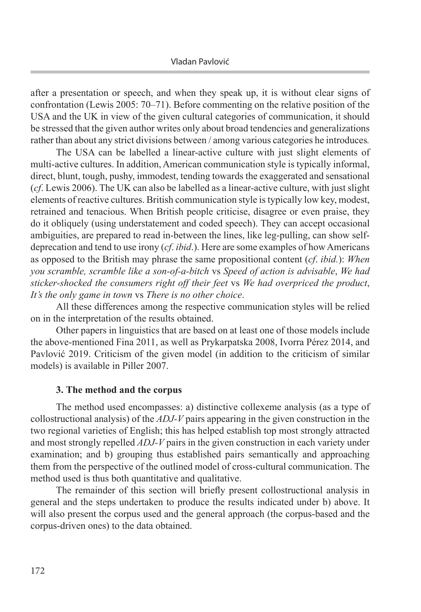after a presentation or speech, and when they speak up, it is without clear signs of confrontation (Lewis 2005: 70–71). Before commenting on the relative position of the USA and the UK in view of the given cultural categories of communication, it should be stressed that the given author writes only about broad tendencies and generalizations rather than about any strict divisions between / among various categories he introduces*.*

The USA can be labelled a linear-active culture with just slight elements of multi-active cultures. In addition, American communication style is typically informal, direct, blunt, tough, pushy, immodest, tending towards the exaggerated and sensational (*cf*. Lewis 2006). The UK can also be labelled as a linear-active culture, with just slight elements of reactive cultures. British communication style is typically low key, modest, retrained and tenacious. When British people criticise, disagree or even praise, they do it obliquely (using understatement and coded speech). They can accept occasional ambiguities, are prepared to read in-between the lines, like leg-pulling, can show selfdeprecation and tend to use irony (*cf*. *ibid*.). Here are some examples of how Americans as opposed to the British may phrase the same propositional content (*cf*. *ibid.*): *When you scramble, scramble like a son-of-a-bitch* vs *Speed of action is advisable*, *We had sticker-shocked the consumers right off their feet* vs *We had overpriced the product*, *It's the only game in town* vs *There is no other choice*.

All these differences among the respective communication styles will be relied on in the interpretation of the results obtained.

Other papers in linguistics that are based on at least one of those models include the above-mentioned Fina 2011, as well as Prykarpatska 2008, Ivorra Pérez 2014, and Pavlović 2019. Criticism of the given model (in addition to the criticism of similar models) is available in Piller 2007.

## **3. The method and the corpus**

The method used encompasses: a) distinctive collexeme analysis (as a type of collostructional analysis) of the *ADJ-V* pairs appearing in the given construction in the two regional varieties of English; this has helped establish top most strongly attracted and most strongly repelled *ADJ-V* pairs in the given construction in each variety under examination; and b) grouping thus established pairs semantically and approaching them from the perspective of the outlined model of cross-cultural communication. The method used is thus both quantitative and qualitative.

The remainder of this section will briefly present collostructional analysis in general and the steps undertaken to produce the results indicated under b) above. It will also present the corpus used and the general approach (the corpus-based and the corpus-driven ones) to the data obtained.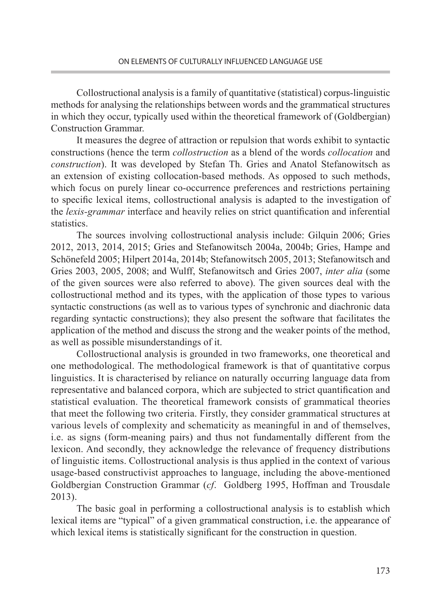Collostructional analysis is a family of quantitative (statistical) corpus-linguistic methods for analysing the relationships between words and the grammatical structures in which they occur, typically used within the theoretical framework of (Goldbergian) Construction Grammar.

It measures the degree of attraction or repulsion that words exhibit to syntactic constructions (hence the term *collostruction* as a blend of the words *collocation* and *construction*). It was developed by Stefan Th. Gries and Anatol Stefanowitsch as an extension of existing collocation-based methods. As opposed to such methods, which focus on purely linear co-occurrence preferences and restrictions pertaining to specific lexical items, collostructional analysis is adapted to the investigation of the *lexis-grammar* interface and heavily relies on strict quantification and inferential statistics.

The sources involving collostructional analysis include: Gilquin 2006; Gries 2012, 2013, 2014, 2015; Gries and Stefanowitsch 2004a, 2004b; Gries, Hampe and Schönefeld 2005; Hilpert 2014a, 2014b; Stefanowitsch 2005, 2013; Stefanowitsch and Gries 2003, 2005, 2008; and Wulff, Stefanowitsch and Gries 2007, *inter alia* (some of the given sources were also referred to above). The given sources deal with the collostructional method and its types, with the application of those types to various syntactic constructions (as well as to various types of synchronic and diachronic data regarding syntactic constructions); they also present the software that facilitates the application of the method and discuss the strong and the weaker points of the method, as well as possible misunderstandings of it.

Collostructional analysis is grounded in two frameworks, one theoretical and one methodological. The methodological framework is that of quantitative corpus linguistics. It is characterised by reliance on naturally occurring language data from representative and balanced corpora, which are subjected to strict quantification and statistical evaluation. The theoretical framework consists of grammatical theories that meet the following two criteria. Firstly, they consider grammatical structures at various levels of complexity and schematicity as meaningful in and of themselves, i.e. as signs (form-meaning pairs) and thus not fundamentally different from the lexicon. And secondly, they acknowledge the relevance of frequency distributions of linguistic items. Collostructional analysis is thus applied in the context of various usage-based constructivist approaches to language, including the above-mentioned Goldbergian Construction Grammar (*cf*. Goldberg 1995, Hoffman and Trousdale 2013).

The basic goal in performing a collostructional analysis is to establish which lexical items are "typical" of a given grammatical construction, i.e. the appearance of which lexical items is statistically significant for the construction in question.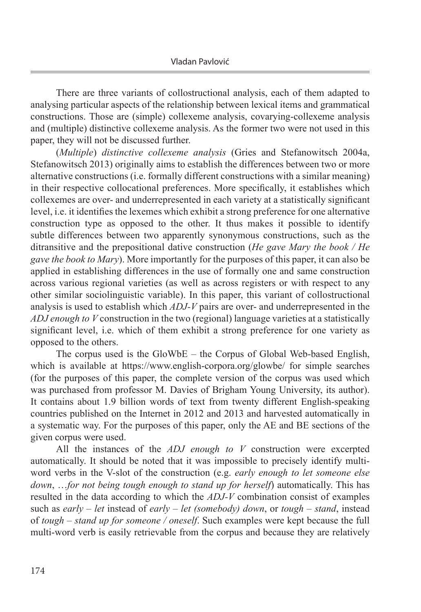There are three variants of collostructional analysis, each of them adapted to analysing particular aspects of the relationship between lexical items and grammatical constructions. Those are (simple) collexeme analysis, covarying-collexeme analysis and (multiple) distinctive collexeme analysis. As the former two were not used in this paper, they will not be discussed further.

(*Multiple*) *distinctive collexeme analysis* (Gries and Stefanowitsch 2004a, Stefanowitsch 2013) originally aims to establish the differences between two or more alternative constructions (i.e. formally different constructions with a similar meaning) in their respective collocational preferences. More specifically, it establishes which collexemes are over- and underrepresented in each variety at a statistically significant level, i.e. it identifies the lexemes which exhibit a strong preference for one alternative construction type as opposed to the other. It thus makes it possible to identify subtle differences between two apparently synonymous constructions, such as the ditransitive and the prepositional dative construction (*He gave Mary the book / He gave the book to Mary*). More importantly for the purposes of this paper, it can also be applied in establishing differences in the use of formally one and same construction across various regional varieties (as well as across registers or with respect to any other similar sociolinguistic variable). In this paper, this variant of collostructional analysis is used to establish which *ADJ-V* pairs are over- and underrepresented in the *ADJ enough to V* construction in the two (regional) language varieties at a statistically significant level, i.e. which of them exhibit a strong preference for one variety as opposed to the others.

The corpus used is the GloWbE – the Corpus of Global Web-based English, which is available at https://www.english-corpora.org/glowbe/ for simple searches (for the purposes of this paper, the complete version of the corpus was used which was purchased from professor M. Davies of Brigham Young University, its author). It contains about 1.9 billion words of text from twenty different English-speaking countries published on the Internet in 2012 and 2013 and harvested automatically in a systematic way. For the purposes of this paper, only the AE and BE sections of the given corpus were used.

All the instances of the *ADJ enough to V* construction were excerpted automatically. It should be noted that it was impossible to precisely identify multiword verbs in the V-slot of the construction (e.g. *early enough to let someone else down*, …*for not being tough enough to stand up for herself*) automatically. This has resulted in the data according to which the *ADJ-V* combination consist of examples such as *early – let* instead of *early – let (somebody) down*, or *tough* – *stand*, instead of *tough – stand up for someone / oneself*. Such examples were kept because the full multi-word verb is easily retrievable from the corpus and because they are relatively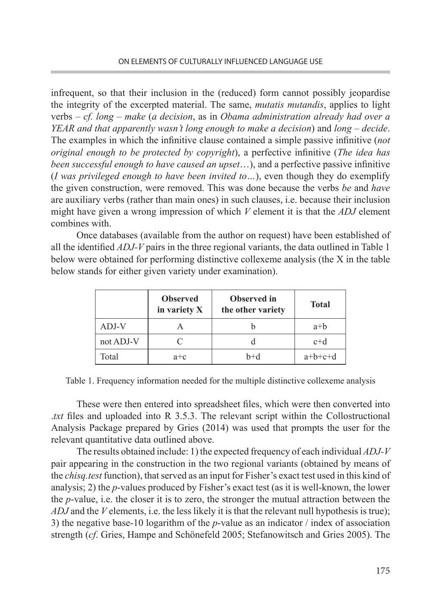infrequent, so that their inclusion in the (reduced) form cannot possibly jeopardise the integrity of the excerpted material. The same, *mutatis mutandis*, applies to light verbs – *cf. long – make* (*a decision*, as in *Obama administration already had over a YEAR and that apparently wasn't long enough to make a decision*) and *long – decide*. The examples in which the infinitive clause contained a simple passive infinitive (*not original enough to be protected by copyright*), a perfective infinitive (*The idea has been successful enough to have caused an upset*…), and a perfective passive infinitive (*I was privileged enough to have been invited to…*), even though they do exemplify the given construction, were removed. This was done because the verbs *be* and *have* are auxiliary verbs (rather than main ones) in such clauses, i.e. because their inclusion might have given a wrong impression of which *V* element it is that the *ADJ* element combines with.

Once databases (available from the author on request) have been established of all the identified *ADJ-V* pairs in the three regional variants, the data outlined in Table 1 below were obtained for performing distinctive collexeme analysis (the X in the table below stands for either given variety under examination).

|           | <b>Observed</b><br>in variety X | <b>Observed</b> in<br>the other variety | <b>Total</b> |  |
|-----------|---------------------------------|-----------------------------------------|--------------|--|
| ADJ-V     |                                 |                                         | $a+b$        |  |
| not ADJ-V |                                 |                                         | $c+d$        |  |
| Total     | $a + c$                         | $h+d$                                   | $a+b+c+d$    |  |

Table 1. Frequency information needed for the multiple distinctive collexeme analysis

These were then entered into spreadsheet files, which were then converted into .*txt* files and uploaded into R 3.5.3. The relevant script within the Collostructional Analysis Package prepared by Gries (2014) was used that prompts the user for the relevant quantitative data outlined above.

The results obtained include: 1) the expected frequency of each individual *ADJ-V* pair appearing in the construction in the two regional variants (obtained by means of the *chisq.test* function), that served as an input for Fisher's exact test used in this kind of analysis; 2) the *p*-values produced by Fisher's exact test (as it is well-known, the lower the *p*-value, i.e. the closer it is to zero, the stronger the mutual attraction between the *ADJ* and the *V* elements, i.e. the less likely it is that the relevant null hypothesis is true); 3) the negative base-10 logarithm of the *p*-value as an indicator / index of association strength (*cf*. Gries, Hampe and Schönefeld 2005; Stefanowitsch and Gries 2005). The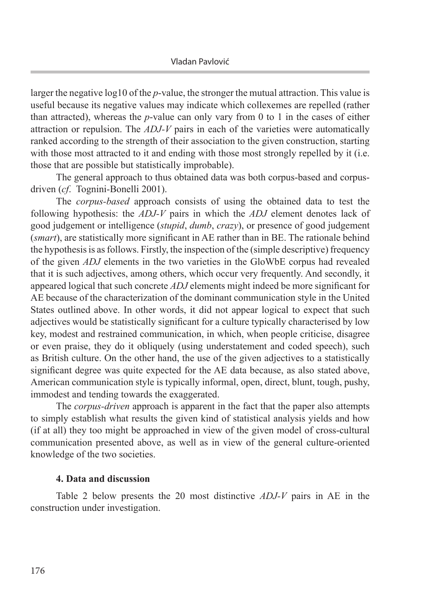larger the negative log10 of the *p*-value, the stronger the mutual attraction. This value is useful because its negative values may indicate which collexemes are repelled (rather than attracted), whereas the *p*-value can only vary from 0 to 1 in the cases of either attraction or repulsion. The *ADJ-V* pairs in each of the varieties were automatically ranked according to the strength of their association to the given construction, starting with those most attracted to it and ending with those most strongly repelled by it (i.e. those that are possible but statistically improbable).

The general approach to thus obtained data was both corpus-based and corpusdriven (*cf*. Tognini-Bonelli 2001).

The *corpus-based* approach consists of using the obtained data to test the following hypothesis: the *ADJ-V* pairs in which the *ADJ* element denotes lack of good judgement or intelligence (*stupid*, *dumb*, *crazy*), or presence of good judgement (*smart*), are statistically more significant in AE rather than in BE. The rationale behind the hypothesis is as follows. Firstly, the inspection of the (simple descriptive) frequency of the given *ADJ* elements in the two varieties in the GloWbE corpus had revealed that it is such adjectives, among others, which occur very frequently. And secondly, it appeared logical that such concrete *ADJ* elements might indeed be more significant for AE because of the characterization of the dominant communication style in the United States outlined above. In other words, it did not appear logical to expect that such adjectives would be statistically significant for a culture typically characterised by low key, modest and restrained communication, in which, when people criticise, disagree or even praise, they do it obliquely (using understatement and coded speech), such as British culture. On the other hand, the use of the given adjectives to a statistically significant degree was quite expected for the AE data because, as also stated above, American communication style is typically informal, open, direct, blunt, tough, pushy, immodest and tending towards the exaggerated.

The *corpus-driven* approach is apparent in the fact that the paper also attempts to simply establish what results the given kind of statistical analysis yields and how (if at all) they too might be approached in view of the given model of cross-cultural communication presented above, as well as in view of the general culture-oriented knowledge of the two societies.

## **4. Data and discussion**

Table 2 below presents the 20 most distinctive *ADJ-V* pairs in AE in the construction under investigation.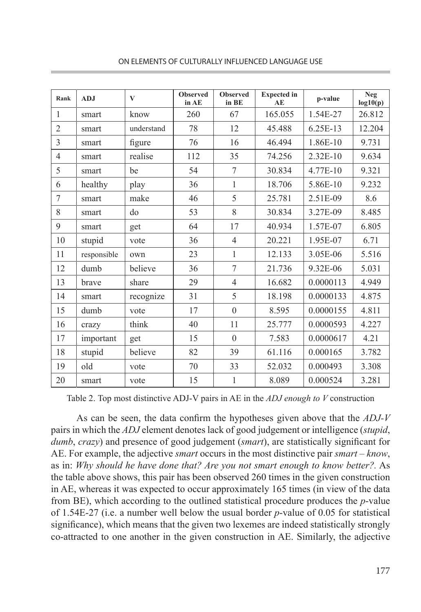| Rank           | <b>ADJ</b>  | $\bf{V}$   | <b>Observed</b><br>in AE | <b>Observed</b><br>in BE | <b>Expected</b> in<br>AE | p-value   | <b>Neg</b><br>log10(p) |
|----------------|-------------|------------|--------------------------|--------------------------|--------------------------|-----------|------------------------|
| $\mathbf{1}$   | smart       | know       | 260                      | 67                       | 165.055                  | 1.54E-27  | 26.812                 |
| $\overline{2}$ | smart       | understand | 78                       | 12                       | 45.488                   | 6.25E-13  | 12.204                 |
| $\overline{3}$ | smart       | figure     | 76                       | 16                       | 46.494                   | 1.86E-10  | 9.731                  |
| $\overline{4}$ | smart       | realise    | 112                      | 35                       | 74.256                   | 2.32E-10  | 9.634                  |
| 5              | smart       | be         | 54                       | 7                        | 30.834                   | 4.77E-10  | 9.321                  |
| 6              | healthy     | play       | 36                       | $\mathbf{1}$             | 18.706                   | 5.86E-10  | 9.232                  |
| 7              | smart       | make       | 46                       | 5                        | 25.781                   | 2.51E-09  | 8.6                    |
| 8              | smart       | do         | 53                       | 8                        | 30.834                   | 3.27E-09  | 8.485                  |
| 9              | smart       | get        | 64                       | 17                       | 40.934                   | 1.57E-07  | 6.805                  |
| 10             | stupid      | vote       | 36                       | $\overline{4}$           | 20.221                   | 1.95E-07  | 6.71                   |
| 11             | responsible | own        | 23                       | 1                        | 12.133                   | 3.05E-06  | 5.516                  |
| 12             | dumb        | believe    | 36                       | $\tau$                   | 21.736                   | 9.32E-06  | 5.031                  |
| 13             | brave       | share      | 29                       | $\overline{4}$           | 16.682                   | 0.0000113 | 4.949                  |
| 14             | smart       | recognize  | 31                       | 5                        | 18.198                   | 0.0000133 | 4.875                  |
| 15             | dumb        | vote       | 17                       | $\boldsymbol{0}$         | 8.595                    | 0.0000155 | 4.811                  |
| 16             | crazy       | think      | 40                       | 11                       | 25.777                   | 0.0000593 | 4.227                  |
| 17             | important   | get        | 15                       | $\theta$                 | 7.583                    | 0.0000617 | 4.21                   |
| 18             | stupid      | believe    | 82                       | 39                       | 61.116                   | 0.000165  | 3.782                  |
| 19             | old         | vote       | 70                       | 33                       | 52.032                   | 0.000493  | 3.308                  |
| 20             | smart       | vote       | 15                       | $\mathbf{1}$             | 8.089                    | 0.000524  | 3.281                  |

ON ELEMENTS OF CULTURALLY INFLUENCED LANGUAGE USE

Table 2. Top most distinctive ADJ-V pairs in AE in the *ADJ enough to V* construction

As can be seen, the data confirm the hypotheses given above that the *ADJ-V* pairs in which the *ADJ* element denotes lack of good judgement or intelligence (*stupid*, *dumb*, *crazy*) and presence of good judgement (*smart*), are statistically significant for AE. For example, the adjective *smart* occurs in the most distinctive pair *smart* – *know*, as in: *Why should he have done that? Are you not smart enough to know better?.* As the table above shows, this pair has been observed 260 times in the given construction in AE, whereas it was expected to occur approximately 165 times (in view of the data from BE), which according to the outlined statistical procedure produces the *p*-value of 1.54E-27 (i.e. a number well below the usual border *p*-value of 0.05 for statistical significance), which means that the given two lexemes are indeed statistically strongly co-attracted to one another in the given construction in AE. Similarly, the adjective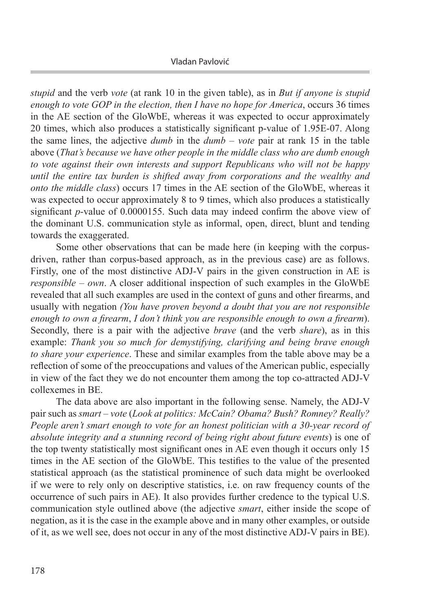*stupid* and the verb *vote* (at rank 10 in the given table), as in *But if anyone is stupid enough to vote GOP in the election, then I have no hope for America*, occurs 36 times in the AE section of the GloWbE, whereas it was expected to occur approximately 20 times, which also produces a statistically significant p-value of 1.95E-07. Along the same lines, the adjective *dumb* in the *dumb* – *vote* pair at rank 15 in the table above (*That's because we have other people in the middle class who are dumb enough to vote against their own interests and support Republicans who will not be happy until the entire tax burden is shifted away from corporations and the wealthy and onto the middle class*) occurs 17 times in the AE section of the GloWbE, whereas it was expected to occur approximately 8 to 9 times, which also produces a statistically significant *p*-value of 0.0000155. Such data may indeed confirm the above view of the dominant U.S. communication style as informal, open, direct, blunt and tending towards the exaggerated.

Some other observations that can be made here (in keeping with the corpusdriven, rather than corpus-based approach, as in the previous case) are as follows. Firstly, one of the most distinctive ADJ-V pairs in the given construction in AE is *responsible – own*. A closer additional inspection of such examples in the GloWbE revealed that all such examples are used in the context of guns and other firearms, and usually with negation *(You have proven beyond a doubt that you are not responsible enough to own a firearm*, *I don't think you are responsible enough to own a firearm*). Secondly, there is a pair with the adjective *brave* (and the verb *share*), as in this example: *Thank you so much for demystifying, clarifying and being brave enough to share your experience*. These and similar examples from the table above may be a reflection of some of the preoccupations and values of the American public, especially in view of the fact they we do not encounter them among the top co-attracted ADJ-V collexemes in BE.

The data above are also important in the following sense. Namely, the ADJ-V pair such as *smart* – *vote* (*Look at politics: McCain? Obama? Bush? Romney? Really? People aren't smart enough to vote for an honest politician with a 30-year record of absolute integrity and a stunning record of being right about future events*) is one of the top twenty statistically most significant ones in AE even though it occurs only 15 times in the AE section of the GloWbE. This testifies to the value of the presented statistical approach (as the statistical prominence of such data might be overlooked if we were to rely only on descriptive statistics, i.e. on raw frequency counts of the occurrence of such pairs in AE). It also provides further credence to the typical U.S. communication style outlined above (the adjective *smart*, either inside the scope of negation, as it is the case in the example above and in many other examples, or outside of it, as we well see, does not occur in any of the most distinctive ADJ-V pairs in BE).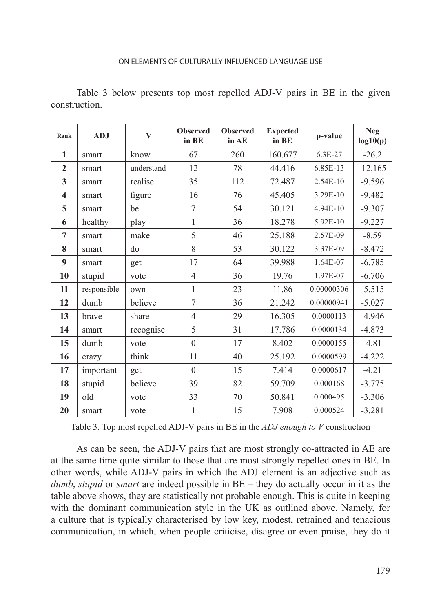| Rank                    | <b>ADJ</b>  | $\bf{V}$   | <b>Observed</b><br>in BE | <b>Observed</b><br>in AE | <b>Expected</b><br>in BE | p-value    | <b>Neg</b><br>log10(p) |
|-------------------------|-------------|------------|--------------------------|--------------------------|--------------------------|------------|------------------------|
| 1                       | smart       | know       | 67                       | 260                      | 160.677                  | 6.3E-27    | $-26.2$                |
| $\mathbf{2}$            | smart       | understand | 12                       | 78                       | 44.416                   | 6.85E-13   | $-12.165$              |
| $\mathbf{3}$            | smart       | realise    | 35                       | 112                      | 72.487                   | 2.54E-10   | $-9.596$               |
| $\overline{\mathbf{4}}$ | smart       | figure     | 16                       | 76                       | 45.405                   | 3.29E-10   | $-9.482$               |
| 5                       | smart       | be         | 7                        | 54                       | 30.121                   | 4.94E-10   | $-9.307$               |
| 6                       | healthy     | play       | 1                        | 36                       | 18.278                   | 5.92E-10   | $-9.227$               |
| $\overline{7}$          | smart       | make       | 5                        | 46                       | 25.188                   | 2.57E-09   | $-8.59$                |
| 8                       | smart       | do         | 8                        | 53                       | 30.122                   | 3.37E-09   | $-8.472$               |
| 9                       | smart       | get        | 17                       | 64                       | 39.988                   | 1.64E-07   | $-6.785$               |
| 10                      | stupid      | vote       | $\overline{4}$           | 36                       | 19.76                    | 1.97E-07   | $-6.706$               |
| 11                      | responsible | own        | 1                        | 23                       | 11.86                    | 0.00000306 | $-5.515$               |
| 12                      | dumb        | believe    | $\overline{7}$           | 36                       | 21.242                   | 0.00000941 | $-5.027$               |
| 13                      | brave       | share      | $\overline{4}$           | 29                       | 16.305                   | 0.0000113  | $-4.946$               |
| 14                      | smart       | recognise  | 5                        | 31                       | 17.786                   | 0.0000134  | $-4.873$               |
| 15                      | dumb        | vote       | $\mathbf{0}$             | 17                       | 8.402                    | 0.0000155  | $-4.81$                |
| 16                      | crazy       | think      | 11                       | 40                       | 25.192                   | 0.0000599  | $-4.222$               |
| 17                      | important   | get        | $\theta$                 | 15                       | 7.414                    | 0.0000617  | $-4.21$                |
| 18                      | stupid      | believe    | 39                       | 82                       | 59.709                   | 0.000168   | $-3.775$               |
| 19                      | old         | vote       | 33                       | 70                       | 50.841                   | 0.000495   | $-3.306$               |
| 20                      | smart       | vote       | 1                        | 15                       | 7.908                    | 0.000524   | $-3.281$               |

Table 3 below presents top most repelled ADJ-V pairs in BE in the given construction.

Table 3. Top most repelled ADJ-V pairs in BE in the *ADJ enough to V* construction

As can be seen, the ADJ-V pairs that are most strongly co-attracted in AE are at the same time quite similar to those that are most strongly repelled ones in BE. In other words, while ADJ-V pairs in which the ADJ element is an adjective such as *dumb*, *stupid* or *smart* are indeed possible in BE – they do actually occur in it as the table above shows, they are statistically not probable enough. This is quite in keeping with the dominant communication style in the UK as outlined above. Namely, for a culture that is typically characterised by low key, modest, retrained and tenacious communication, in which, when people criticise, disagree or even praise, they do it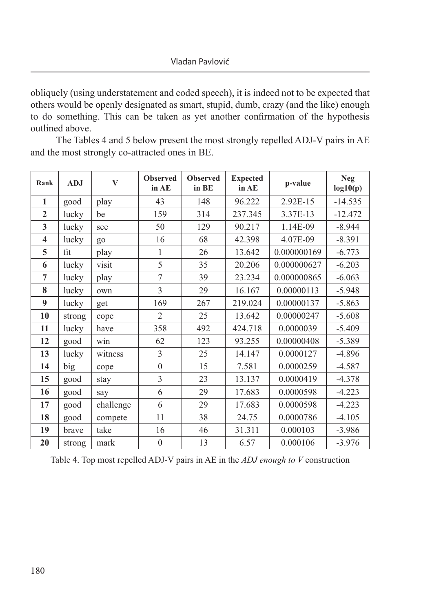obliquely (using understatement and coded speech), it is indeed not to be expected that others would be openly designated as smart, stupid, dumb, crazy (and the like) enough to do something. This can be taken as yet another confirmation of the hypothesis outlined above.

The Tables 4 and 5 below present the most strongly repelled ADJ-V pairs in AE and the most strongly co-attracted ones in BE.

| Rank                    | <b>ADJ</b> | V         | <b>Observed</b><br>in AE | <b>Observed</b><br>in BE | <b>Expected</b><br>in AE | p-value     | <b>Neg</b><br>log10(p) |
|-------------------------|------------|-----------|--------------------------|--------------------------|--------------------------|-------------|------------------------|
| 1                       | good       | play      | 43                       | 148                      | 96.222                   | 2.92E-15    | $-14.535$              |
| $\overline{2}$          | lucky      | be        | 159                      | 314                      | 237.345                  | 3.37E-13    | $-12.472$              |
| 3                       | lucky      | see       | 50                       | 129                      | 90.217                   | 1.14E-09    | $-8.944$               |
| $\overline{\mathbf{4}}$ | lucky      | go        | 16                       | 68                       | 42.398                   | 4.07E-09    | $-8.391$               |
| 5                       | fit        | play      | 1                        | 26                       | 13.642                   | 0.000000169 | $-6.773$               |
| 6                       | lucky      | visit     | 5                        | 35                       | 20.206                   | 0.000000627 | $-6.203$               |
| $\overline{7}$          | lucky      | play      | 7                        | 39                       | 23.234                   | 0.000000865 | $-6.063$               |
| 8                       | lucky      | own       | 3                        | 29                       | 16.167                   | 0.00000113  | $-5.948$               |
| 9                       | lucky      | get       | 169                      | 267                      | 219.024                  | 0.00000137  | $-5.863$               |
| 10                      | strong     | cope      | $\overline{2}$           | 25                       | 13.642                   | 0.00000247  | $-5.608$               |
| 11                      | lucky      | have      | 358                      | 492                      | 424.718                  | 0.0000039   | $-5.409$               |
| 12                      | good       | win       | 62                       | 123                      | 93.255                   | 0.00000408  | $-5.389$               |
| 13                      | lucky      | witness   | $\overline{3}$           | 25                       | 14.147                   | 0.0000127   | $-4.896$               |
| 14                      | big        | cope      | $\boldsymbol{0}$         | 15                       | 7.581                    | 0.0000259   | $-4.587$               |
| 15                      | good       | stay      | 3                        | 23                       | 13.137                   | 0.0000419   | $-4.378$               |
| 16                      | good       | say       | 6                        | 29                       | 17.683                   | 0.0000598   | $-4.223$               |
| 17                      | good       | challenge | 6                        | 29                       | 17.683                   | 0.0000598   | $-4.223$               |
| 18                      | good       | compete   | 11                       | 38                       | 24.75                    | 0.0000786   | $-4.105$               |
| 19                      | brave      | take      | 16                       | 46                       | 31.311                   | 0.000103    | $-3.986$               |
| 20                      | strong     | mark      | $\boldsymbol{0}$         | 13                       | 6.57                     | 0.000106    | $-3.976$               |

Table 4. Top most repelled ADJ-V pairs in AE in the *ADJ enough to V* construction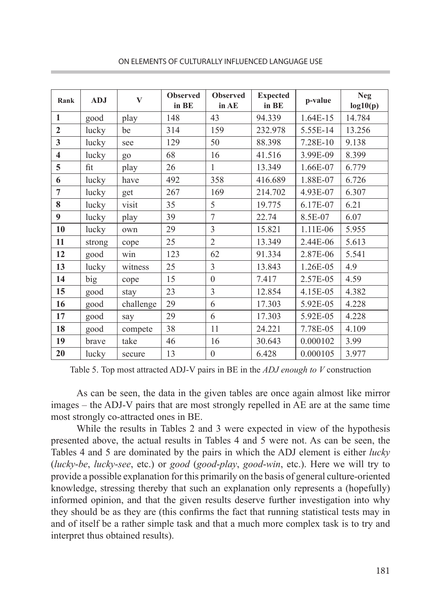| Rank                    | <b>ADJ</b> | $\bf{V}$  | <b>Observed</b><br>in BE | <b>Observed</b><br>in AE | <b>Expected</b><br>in BE | p-value  | <b>Neg</b><br>log10(p) |
|-------------------------|------------|-----------|--------------------------|--------------------------|--------------------------|----------|------------------------|
| $\mathbf{1}$            | good       | play      | 148                      | 43                       | 94.339                   | 1.64E-15 | 14.784                 |
| $\overline{2}$          | lucky      | be        | 314                      | 159                      | 232.978                  | 5.55E-14 | 13.256                 |
| $\overline{3}$          | lucky      | see       | 129                      | 50                       | 88.398                   | 7.28E-10 | 9.138                  |
| $\overline{\mathbf{4}}$ | lucky      | go        | 68                       | 16                       | 41.516                   | 3.99E-09 | 8.399                  |
| 5                       | fit        | play      | 26                       | $\mathbf{1}$             | 13.349                   | 1.66E-07 | 6.779                  |
| 6                       | lucky      | have      | 492                      | 358                      | 416.689                  | 1.88E-07 | 6.726                  |
| $\overline{7}$          | lucky      | get       | 267                      | 169                      | 214.702                  | 4.93E-07 | 6.307                  |
| 8                       | lucky      | visit     | 35                       | 5                        | 19.775                   | 6.17E-07 | 6.21                   |
| 9                       | lucky      | play      | 39                       | 7                        | 22.74                    | 8.5E-07  | 6.07                   |
| 10                      | lucky      | own       | 29                       | 3                        | 15.821                   | 1.11E-06 | 5.955                  |
| 11                      | strong     | cope      | 25                       | $\overline{2}$           | 13.349                   | 2.44E-06 | 5.613                  |
| 12                      | good       | win       | 123                      | 62                       | 91.334                   | 2.87E-06 | 5.541                  |
| 13                      | lucky      | witness   | 25                       | 3                        | 13.843                   | 1.26E-05 | 4.9                    |
| 14                      | big        | cope      | 15                       | $\theta$                 | 7.417                    | 2.57E-05 | 4.59                   |
| 15                      | good       | stay      | 23                       | 3                        | 12.854                   | 4.15E-05 | 4.382                  |
| 16                      | good       | challenge | 29                       | 6                        | 17.303                   | 5.92E-05 | 4.228                  |
| 17                      | good       | say       | 29                       | 6                        | 17.303                   | 5.92E-05 | 4.228                  |
| 18                      | good       | compete   | 38                       | 11                       | 24.221                   | 7.78E-05 | 4.109                  |
| 19                      | brave      | take      | 46                       | 16                       | 30.643                   | 0.000102 | 3.99                   |
| 20                      | lucky      | secure    | 13                       | $\boldsymbol{0}$         | 6.428                    | 0.000105 | 3.977                  |

ON ELEMENTS OF CULTURALLY INFLUENCED LANGUAGE USE

Table 5. Top most attracted ADJ-V pairs in BE in the *ADJ enough to V* construction

As can be seen, the data in the given tables are once again almost like mirror images – the ADJ-V pairs that are most strongly repelled in AE are at the same time most strongly co-attracted ones in BE.

While the results in Tables 2 and 3 were expected in view of the hypothesis presented above, the actual results in Tables 4 and 5 were not. As can be seen, the Tables 4 and 5 are dominated by the pairs in which the ADJ element is either *lucky* (*lucky*-*be*, *lucky*-*see*, etc.) or *good* (*good*-*play*, *good*-*win*, etc.). Here we will try to provide a possible explanation for this primarily on the basis of general culture-oriented knowledge, stressing thereby that such an explanation only represents a (hopefully) informed opinion, and that the given results deserve further investigation into why they should be as they are (this confirms the fact that running statistical tests may in and of itself be a rather simple task and that a much more complex task is to try and interpret thus obtained results).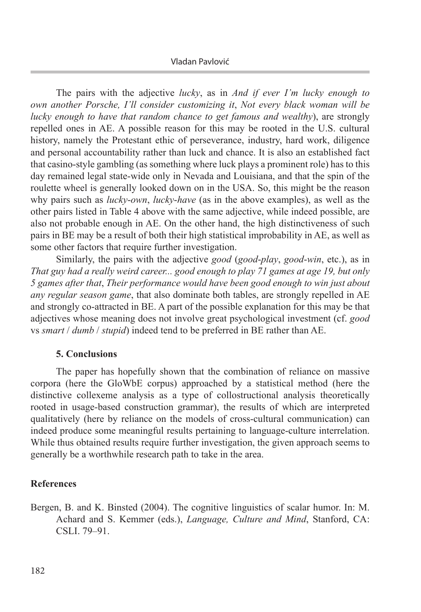The pairs with the adjective *lucky*, as in *And if ever I'm lucky enough to own another Porsche, I'll consider customizing it*, *Not every black woman will be lucky enough to have that random chance to get famous and wealthy*), are strongly repelled ones in AE. A possible reason for this may be rooted in the U.S. cultural history, namely the Protestant ethic of perseverance, industry, hard work, diligence and personal accountability rather than luck and chance. It is also an established fact that casino-style gambling (as something where luck plays a prominent role) has to this day remained legal state-wide only in Nevada and Louisiana, and that the spin of the roulette wheel is generally looked down on in the USA. So, this might be the reason why pairs such as *lucky*-*own*, *lucky*-*have* (as in the above examples), as well as the other pairs listed in Table 4 above with the same adjective, while indeed possible, are also not probable enough in AE. On the other hand, the high distinctiveness of such pairs in BE may be a result of both their high statistical improbability in AE, as well as some other factors that require further investigation.

Similarly, the pairs with the adjective *good* (*good*-*play*, *good*-*win*, etc.), as in *That guy had a really weird career... good enough to play 71 games at age 19, but only 5 games after that*, *Their performance would have been good enough to win just about any regular season game*, that also dominate both tables, are strongly repelled in AE and strongly co-attracted in BE. A part of the possible explanation for this may be that adjectives whose meaning does not involve great psychological investment (cf. *good* vs *smart* / *dumb* / *stupid*) indeed tend to be preferred in BE rather than AE.

#### **5. Conclusions**

The paper has hopefully shown that the combination of reliance on massive corpora (here the GloWbE corpus) approached by a statistical method (here the distinctive collexeme analysis as a type of collostructional analysis theoretically rooted in usage-based construction grammar), the results of which are interpreted qualitatively (here by reliance on the models of cross-cultural communication) can indeed produce some meaningful results pertaining to language-culture interrelation. While thus obtained results require further investigation, the given approach seems to generally be a worthwhile research path to take in the area.

## **References**

Bergen, B. and K. Binsted (2004). The cognitive linguistics of scalar humor. In: M. Achard and S. Kemmer (eds.), *Language, Culture and Mind*, Stanford, CA: CSLI. 79–91.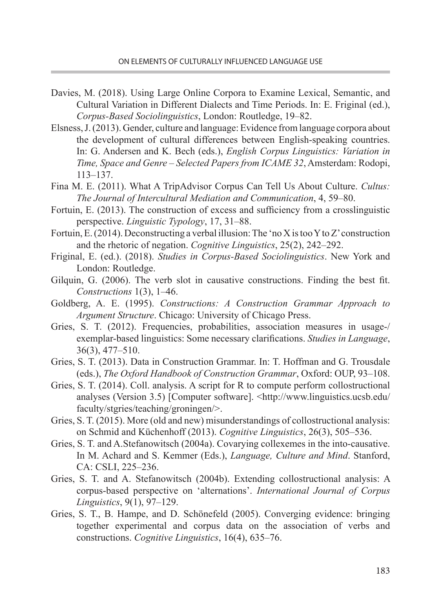- Davies, M. (2018). Using Large Online Corpora to Examine Lexical, Semantic, and Cultural Variation in Different Dialects and Time Periods. In: E. Friginal (ed.), *Corpus-Based Sociolinguistics*, London: Routledge, 19–82.
- Elsness, J. (2013). Gender, culture and language: Evidence from language corpora about the development of cultural differences between English-speaking countries. In: G. Andersen and K. Bech (eds.), *English Corpus Linguistics: Variation in Time, Space and Genre – Selected Papers from ICAME 32*, Amsterdam: Rodopi, 113–137.
- Fina M. E. (2011). What A TripAdvisor Corpus Can Tell Us About Culture. *Cultus: The Journal of Intercultural Mediation and Communication*, 4, 59–80.
- Fortuin, E. (2013). The construction of excess and sufficiency from a crosslinguistic perspective. *Linguistic Typology*, 17, 31–88.
- Fortuin, E. (2014). Deconstructing a verbal illusion: The 'no X is too Y to Z' construction and the rhetoric of negation. *Cognitive Linguistics*, 25(2), 242–292.
- Friginal, E. (ed.). (2018). *Studies in Corpus-Based Sociolinguistics*. New York and London: Routledge.
- Gilquin, G. (2006). The verb slot in causative constructions. Finding the best fit. *Constructions* 1(3), 1–46.
- Goldberg, A. E. (1995). *Constructions: A Construction Grammar Approach to Argument Structure*. Chicago: University of Chicago Press.
- Gries, S. T. (2012). Frequencies, probabilities, association measures in usage-/ exemplar-based linguistics: Some necessary clarifications. *Studies in Language*, 36(3), 477–510.
- Gries, S. T. (2013). Data in Construction Grammar. In: T. Hoffman and G. Trousdale (eds.), *The Oxford Handbook of Construction Grammar*, Oxford: OUP, 93–108.
- Gries, S. T. (2014). Coll. analysis. A script for R to compute perform collostructional analyses (Version 3.5) [Computer software]. <http://www.linguistics.ucsb.edu/ faculty/stgries/teaching/groningen/>.
- Gries, S. T. (2015). More (old and new) misunderstandings of collostructional analysis: on Schmid and Küchenhoff (2013). *Cognitive Linguistics*, 26(3), 505–536.
- Gries, S. T. and A.Stefanowitsch (2004a). Covarying collexemes in the into-causative. In M. Achard and S. Kemmer (Eds.), *Language, Culture and Mind*. Stanford, CA: CSLI, 225–236.
- Gries, S. T. and A. Stefanowitsch (2004b). Extending collostructional analysis: A corpus-based perspective on 'alternations'. *International Journal of Corpus Linguistics*, 9(1), 97–129.
- Gries, S. T., B. Hampe, and D. Schönefeld (2005). Converging evidence: bringing together experimental and corpus data on the association of verbs and constructions. *Cognitive Linguistics*, 16(4), 635–76.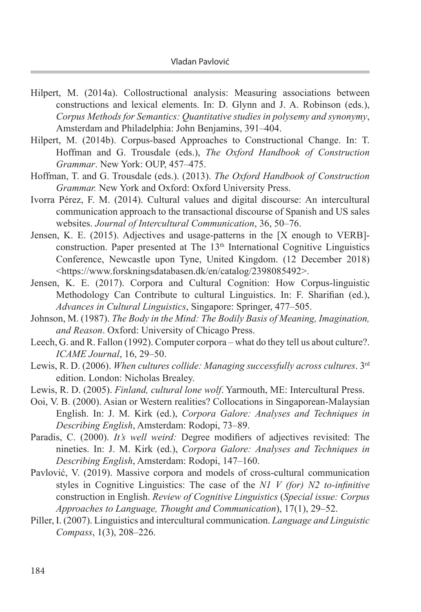- Hilpert, M. (2014a). Collostructional analysis: Measuring associations between constructions and lexical elements. In: D. Glynn and J. A. Robinson (eds.), *Corpus Methods for Semantics: Quantitative studies in polysemy and synonymy*, Amsterdam and Philadelphia: John Benjamins, 391–404.
- Hilpert, M. (2014b). Corpus-based Approaches to Constructional Change. In: T. Hoffman and G. Trousdale (eds.), *The Oxford Handbook of Construction Grammar*. New York: OUP, 457–475.
- Hoffman, T. and G. Trousdale (eds.). (2013). *The Oxford Handbook of Construction Grammar.* New York and Oxford: Oxford University Press.
- Ivorra Pérez, F. M. (2014). Cultural values and digital discourse: An intercultural communication approach to the transactional discourse of Spanish and US sales websites. *Journal of Intercultural Communication*, 36, 50–76.
- Jensen, K. E. (2015). Adjectives and usage-patterns in the [X enough to VERB] construction. Paper presented at The  $13<sup>th</sup>$  International Cognitive Linguistics Conference, Newcastle upon Tyne, United Kingdom. (12 December 2018) <https://www.forskningsdatabasen.dk/en/catalog/2398085492>.
- Jensen, K. E. (2017). Corpora and Cultural Cognition: How Corpus-linguistic Methodology Can Contribute to cultural Linguistics. In: F. Sharifian (ed.), *Advances in Cultural Linguistics*, Singapore: Springer, 477–505.
- Johnson, M. (1987). *The Body in the Mind: The Bodily Basis of Meaning, Imagination, and Reason*. Oxford: University of Chicago Press.
- Leech, G. and R. Fallon (1992). Computer corpora what do they tell us about culture?. *ICAME Journal*, 16, 29–50.
- Lewis, R. D. (2006). *When cultures collide: Managing successfully across cultures*. 3rd edition. London: Nicholas Brealey.
- Lewis, R. D. (2005). *Finland, cultural lone wolf*. Yarmouth, ME: Intercultural Press.
- Ooi, V. B. (2000). Asian or Western realities? Collocations in Singaporean-Malaysian English. In: J. M. Kirk (ed.), *Corpora Galore: Analyses and Techniques in Describing English*, Amsterdam: Rodopi, 73–89.
- Paradis, C. (2000). *It's well weird:* Degree modifiers of adjectives revisited: The nineties. In: J. M. Kirk (ed.), *Corpora Galore: Analyses and Techniques in Describing English*, Amsterdam: Rodopi, 147–160.
- Pavlović, V. (2019). Massive corpora and models of cross-cultural communication styles in Cognitive Linguistics: The case of the *N1 V (for) N2 to-infinitive* construction in English. *Review of Cognitive Linguistics* (*Special issue: Corpus Approaches to Language, Thought and Communication*), 17(1), 29–52.
- Piller, I. (2007). Linguistics and intercultural communication. *Language and Linguistic Compass*, 1(3), 208–226.